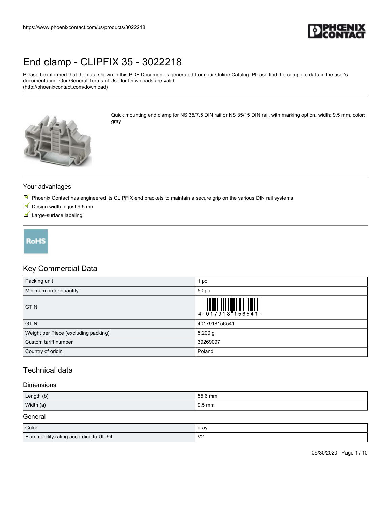

Please be informed that the data shown in this PDF Document is generated from our Online Catalog. Please find the complete data in the user's documentation. Our General Terms of Use for Downloads are valid (http://phoenixcontact.com/download)



Quick mounting end clamp for NS 35/7,5 DIN rail or NS 35/15 DIN rail, with marking option, width: 9.5 mm, color: gray

#### Your advantages

- $\mathbb N$  Phoenix Contact has engineered its CLIPFIX end brackets to maintain a secure grip on the various DIN rail systems
- $\blacksquare$  Design width of just 9.5 mm
- Large-surface labeling



## Key Commercial Data

| Packing unit                         | pc                                                                                                                 |
|--------------------------------------|--------------------------------------------------------------------------------------------------------------------|
| Minimum order quantity               | 50 pc                                                                                                              |
| <b>GTIN</b>                          | $\begin{array}{c} 1 & 0 & 0 & 0 & 0 \\ 0 & 1 & 0 & 1 & 0 \\ 0 & 1 & 0 & 0 & 0 \\ 0 & 0 & 0 & 0 & 0 \\ \end{array}$ |
| <b>GTIN</b>                          | 4017918156541                                                                                                      |
| Weight per Piece (excluding packing) | 5.200 g                                                                                                            |
| Custom tariff number                 | 39269097                                                                                                           |
| Country of origin                    | Poland                                                                                                             |

## Technical data

#### Dimensions

| Length (b) | 55.6 mm          |
|------------|------------------|
| Width (a)  | $9.5 \text{ mm}$ |

#### General

| Color                                  | gray                           |
|----------------------------------------|--------------------------------|
| Flammability rating according to UL 94 | $\mathcal{U}'$<br>$\mathbf{v}$ |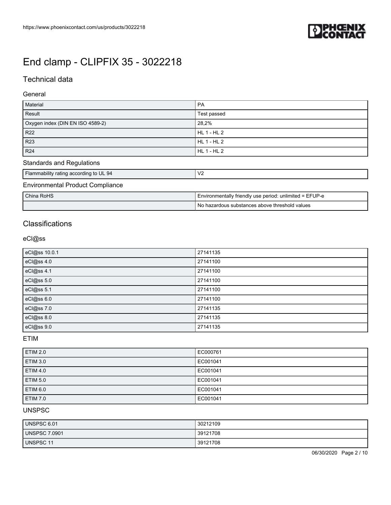

## Technical data

#### General

| Material                         | l PA        |
|----------------------------------|-------------|
| Result                           | Test passed |
| Oxygen index (DIN EN ISO 4589-2) | 28,2%       |
| R22                              | HL 1 - HL 2 |
| R23                              | HL 1 - HL 2 |
| R24                              | HL 1 - HL 2 |

## Standards and Regulations

| Flammability rating according to UL 94  | ۷ź |
|-----------------------------------------|----|
| <b>Environmental Product Compliance</b> |    |

| I China RoHS | Environmentally friendly use period: unlimited = EFUP-e |
|--------------|---------------------------------------------------------|
|              | No hazardous substances above threshold values          |

## **Classifications**

### eCl@ss

| eCl@ss 10.0.1 | 27141135 |
|---------------|----------|
| eCl@ss 4.0    | 27141100 |
| eCl@ss 4.1    | 27141100 |
| eCl@ss 5.0    | 27141100 |
| eCl@ss 5.1    | 27141100 |
| eCl@ss 6.0    | 27141100 |
| eCl@ss 7.0    | 27141135 |
| eCl@ss 8.0    | 27141135 |
| eCl@ss 9.0    | 27141135 |

### ETIM

| <b>ETIM 2.0</b> | EC000761 |
|-----------------|----------|
| <b>ETIM 3.0</b> | EC001041 |
| <b>ETIM 4.0</b> | EC001041 |
| <b>ETIM 5.0</b> | EC001041 |
| ETIM 6.0        | EC001041 |
| <b>ETIM 7.0</b> | EC001041 |

#### UNSPSC

| UNSPSC 6.01          | 30212109 |
|----------------------|----------|
| <b>UNSPSC 7.0901</b> | 39121708 |
| <b>UNSPSC 11</b>     | 39121708 |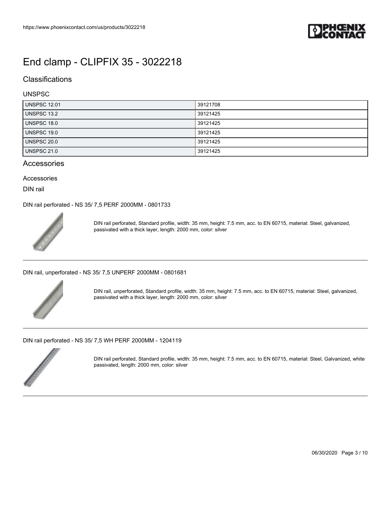

### **Classifications**

#### UNSPSC

| <b>UNSPSC 12.01</b> | 39121708 |
|---------------------|----------|
| <b>UNSPSC 13.2</b>  | 39121425 |
| <b>UNSPSC 18.0</b>  | 39121425 |
| UNSPSC 19.0         | 39121425 |
| <b>UNSPSC 20.0</b>  | 39121425 |
| UNSPSC 21.0         | 39121425 |

#### **Accessories**

#### Accessories

DIN rail

[DIN rail perforated - NS 35/ 7,5 PERF 2000MM - 0801733](https://www.phoenixcontact.com/us/products/0801733)



DIN rail perforated, Standard profile, width: 35 mm, height: 7.5 mm, acc. to EN 60715, material: Steel, galvanized, passivated with a thick layer, length: 2000 mm, color: silver

[DIN rail, unperforated - NS 35/ 7,5 UNPERF 2000MM - 0801681](https://www.phoenixcontact.com/us/products/0801681)



DIN rail, unperforated, Standard profile, width: 35 mm, height: 7.5 mm, acc. to EN 60715, material: Steel, galvanized, passivated with a thick layer, length: 2000 mm, color: silver

[DIN rail perforated - NS 35/ 7,5 WH PERF 2000MM - 1204119](https://www.phoenixcontact.com/us/products/1204119)



DIN rail perforated, Standard profile, width: 35 mm, height: 7.5 mm, acc. to EN 60715, material: Steel, Galvanized, white passivated, length: 2000 mm, color: silver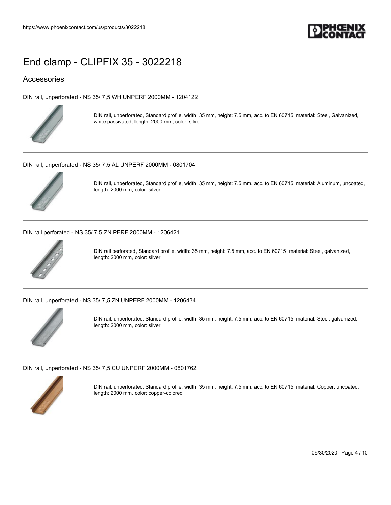

### Accessories

[DIN rail, unperforated - NS 35/ 7,5 WH UNPERF 2000MM - 1204122](https://www.phoenixcontact.com/us/products/1204122)



DIN rail, unperforated, Standard profile, width: 35 mm, height: 7.5 mm, acc. to EN 60715, material: Steel, Galvanized, white passivated, length: 2000 mm, color: silver

[DIN rail, unperforated - NS 35/ 7,5 AL UNPERF 2000MM - 0801704](https://www.phoenixcontact.com/us/products/0801704)



DIN rail, unperforated, Standard profile, width: 35 mm, height: 7.5 mm, acc. to EN 60715, material: Aluminum, uncoated, length: 2000 mm, color: silver

[DIN rail perforated - NS 35/ 7,5 ZN PERF 2000MM - 1206421](https://www.phoenixcontact.com/us/products/1206421)



DIN rail perforated, Standard profile, width: 35 mm, height: 7.5 mm, acc. to EN 60715, material: Steel, galvanized, length: 2000 mm, color: silver

[DIN rail, unperforated - NS 35/ 7,5 ZN UNPERF 2000MM - 1206434](https://www.phoenixcontact.com/us/products/1206434)



DIN rail, unperforated, Standard profile, width: 35 mm, height: 7.5 mm, acc. to EN 60715, material: Steel, galvanized, length: 2000 mm, color: silver

[DIN rail, unperforated - NS 35/ 7,5 CU UNPERF 2000MM - 0801762](https://www.phoenixcontact.com/us/products/0801762)



DIN rail, unperforated, Standard profile, width: 35 mm, height: 7.5 mm, acc. to EN 60715, material: Copper, uncoated, length: 2000 mm, color: copper-colored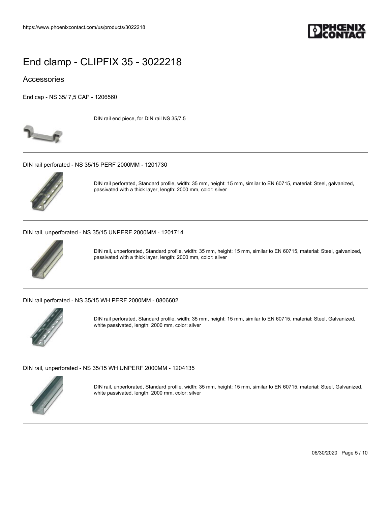

### Accessories

[End cap - NS 35/ 7,5 CAP - 1206560](https://www.phoenixcontact.com/us/products/1206560)



DIN rail end piece, for DIN rail NS 35/7.5

[DIN rail perforated - NS 35/15 PERF 2000MM - 1201730](https://www.phoenixcontact.com/us/products/1201730)



DIN rail perforated, Standard profile, width: 35 mm, height: 15 mm, similar to EN 60715, material: Steel, galvanized, passivated with a thick layer, length: 2000 mm, color: silver

[DIN rail, unperforated - NS 35/15 UNPERF 2000MM - 1201714](https://www.phoenixcontact.com/us/products/1201714)



DIN rail, unperforated, Standard profile, width: 35 mm, height: 15 mm, similar to EN 60715, material: Steel, galvanized, passivated with a thick layer, length: 2000 mm, color: silver

[DIN rail perforated - NS 35/15 WH PERF 2000MM - 0806602](https://www.phoenixcontact.com/us/products/0806602)



DIN rail perforated, Standard profile, width: 35 mm, height: 15 mm, similar to EN 60715, material: Steel, Galvanized, white passivated, length: 2000 mm, color: silver

[DIN rail, unperforated - NS 35/15 WH UNPERF 2000MM - 1204135](https://www.phoenixcontact.com/us/products/1204135)



DIN rail, unperforated, Standard profile, width: 35 mm, height: 15 mm, similar to EN 60715, material: Steel, Galvanized, white passivated, length: 2000 mm, color: silver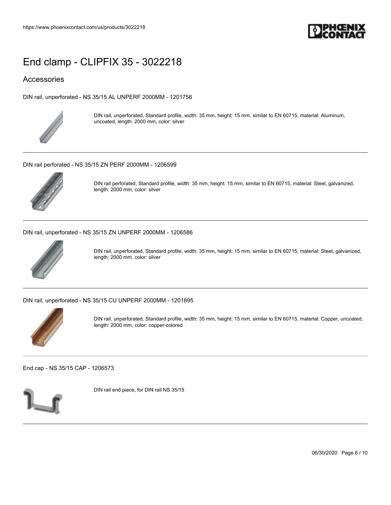

### Accessories

[DIN rail, unperforated - NS 35/15 AL UNPERF 2000MM - 1201756](https://www.phoenixcontact.com/us/products/1201756)



DIN rail, unperforated, Standard profile, width: 35 mm, height: 15 mm, similar to EN 60715, material: Aluminum, uncoated, length: 2000 mm, color: silver

[DIN rail perforated - NS 35/15 ZN PERF 2000MM - 1206599](https://www.phoenixcontact.com/us/products/1206599)



DIN rail perforated, Standard profile, width: 35 mm, height: 15 mm, similar to EN 60715, material: Steel, galvanized, length: 2000 mm, color: silver

[DIN rail, unperforated - NS 35/15 ZN UNPERF 2000MM - 1206586](https://www.phoenixcontact.com/us/products/1206586)



DIN rail, unperforated, Standard profile, width: 35 mm, height: 15 mm, similar to EN 60715, material: Steel, galvanized, length: 2000 mm, color: silver

[DIN rail, unperforated - NS 35/15 CU UNPERF 2000MM - 1201895](https://www.phoenixcontact.com/us/products/1201895)



DIN rail, unperforated, Standard profile, width: 35 mm, height: 15 mm, similar to EN 60715, material: Copper, uncoated, length: 2000 mm, color: copper-colored

[End cap - NS 35/15 CAP - 1206573](https://www.phoenixcontact.com/us/products/1206573)



DIN rail end piece, for DIN rail NS 35/15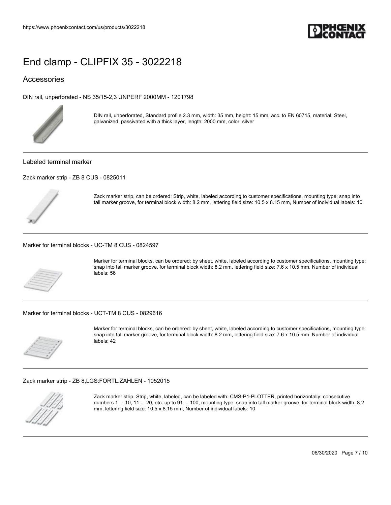

### Accessories

[DIN rail, unperforated - NS 35/15-2,3 UNPERF 2000MM - 1201798](https://www.phoenixcontact.com/us/products/1201798)



DIN rail, unperforated, Standard profile 2.3 mm, width: 35 mm, height: 15 mm, acc. to EN 60715, material: Steel, galvanized, passivated with a thick layer, length: 2000 mm, color: silver

Labeled terminal marker

[Zack marker strip - ZB 8 CUS - 0825011](https://www.phoenixcontact.com/us/products/0825011)



Zack marker strip, can be ordered: Strip, white, labeled according to customer specifications, mounting type: snap into tall marker groove, for terminal block width: 8.2 mm, lettering field size: 10.5 x 8.15 mm, Number of individual labels: 10

[Marker for terminal blocks - UC-TM 8 CUS - 0824597](https://www.phoenixcontact.com/us/products/0824597)



Marker for terminal blocks, can be ordered: by sheet, white, labeled according to customer specifications, mounting type: snap into tall marker groove, for terminal block width: 8.2 mm, lettering field size: 7.6 x 10.5 mm, Number of individual labels: 56

[Marker for terminal blocks - UCT-TM 8 CUS - 0829616](https://www.phoenixcontact.com/us/products/0829616)



Marker for terminal blocks, can be ordered: by sheet, white, labeled according to customer specifications, mounting type: snap into tall marker groove, for terminal block width: 8.2 mm, lettering field size: 7.6 x 10.5 mm, Number of individual labels: 42

[Zack marker strip - ZB 8,LGS:FORTL.ZAHLEN - 1052015](https://www.phoenixcontact.com/us/products/1052015)



Zack marker strip, Strip, white, labeled, can be labeled with: CMS-P1-PLOTTER, printed horizontally: consecutive numbers 1 ... 10, 11 ... 20, etc. up to 91 ... 100, mounting type: snap into tall marker groove, for terminal block width: 8.2 mm, lettering field size: 10.5 x 8.15 mm, Number of individual labels: 10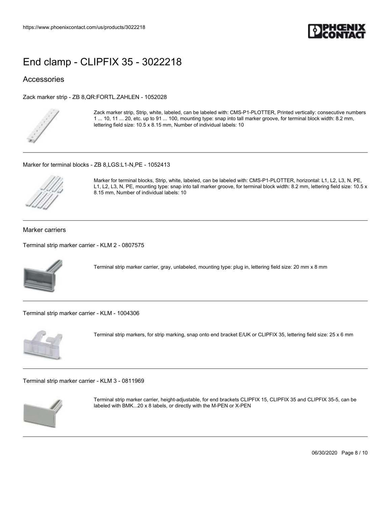

### Accessories

[Zack marker strip - ZB 8,QR:FORTL.ZAHLEN - 1052028](https://www.phoenixcontact.com/us/products/1052028)



Zack marker strip, Strip, white, labeled, can be labeled with: CMS-P1-PLOTTER, Printed vertically: consecutive numbers 1 ... 10, 11 ... 20, etc. up to 91 ... 100, mounting type: snap into tall marker groove, for terminal block width: 8.2 mm, lettering field size: 10.5 x 8.15 mm, Number of individual labels: 10

[Marker for terminal blocks - ZB 8,LGS:L1-N,PE - 1052413](https://www.phoenixcontact.com/us/products/1052413)



Marker for terminal blocks, Strip, white, labeled, can be labeled with: CMS-P1-PLOTTER, horizontal: L1, L2, L3, N, PE, L1, L2, L3, N, PE, mounting type: snap into tall marker groove, for terminal block width: 8.2 mm, lettering field size: 10.5 x 8.15 mm, Number of individual labels: 10

#### Marker carriers

[Terminal strip marker carrier - KLM 2 - 0807575](https://www.phoenixcontact.com/us/products/0807575)



Terminal strip marker carrier, gray, unlabeled, mounting type: plug in, lettering field size: 20 mm x 8 mm

[Terminal strip marker carrier - KLM - 1004306](https://www.phoenixcontact.com/us/products/1004306)



Terminal strip markers, for strip marking, snap onto end bracket E/UK or CLIPFIX 35, lettering field size: 25 x 6 mm

[Terminal strip marker carrier - KLM 3 - 0811969](https://www.phoenixcontact.com/us/products/0811969)



Terminal strip marker carrier, height-adjustable, for end brackets CLIPFIX 15, CLIPFIX 35 and CLIPFIX 35-5, can be labeled with BMK...20 x 8 labels, or directly with the M-PEN or X-PEN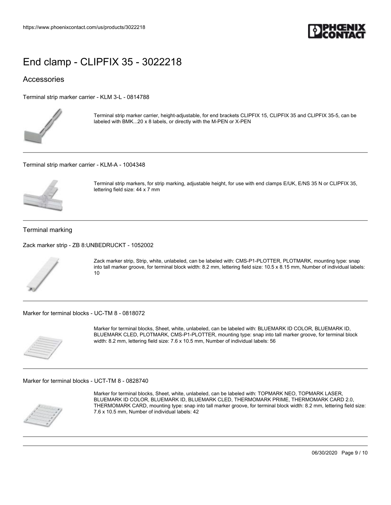

### Accessories

[Terminal strip marker carrier - KLM 3-L - 0814788](https://www.phoenixcontact.com/us/products/0814788)



Terminal strip marker carrier, height-adjustable, for end brackets CLIPFIX 15, CLIPFIX 35 and CLIPFIX 35-5, can be labeled with BMK...20 x 8 labels, or directly with the M-PEN or X-PEN

[Terminal strip marker carrier - KLM-A - 1004348](https://www.phoenixcontact.com/us/products/1004348)



Terminal strip markers, for strip marking, adjustable height, for use with end clamps E/UK, E/NS 35 N or CLIPFIX 35, lettering field size: 44 x 7 mm

#### Terminal marking

[Zack marker strip - ZB 8:UNBEDRUCKT - 1052002](https://www.phoenixcontact.com/us/products/1052002)



Zack marker strip, Strip, white, unlabeled, can be labeled with: CMS-P1-PLOTTER, PLOTMARK, mounting type: snap into tall marker groove, for terminal block width: 8.2 mm, lettering field size: 10.5 x 8.15 mm, Number of individual labels: 10

[Marker for terminal blocks - UC-TM 8 - 0818072](https://www.phoenixcontact.com/us/products/0818072)



Marker for terminal blocks, Sheet, white, unlabeled, can be labeled with: BLUEMARK ID COLOR, BLUEMARK ID, BLUEMARK CLED, PLOTMARK, CMS-P1-PLOTTER, mounting type: snap into tall marker groove, for terminal block width: 8.2 mm, lettering field size: 7.6 x 10.5 mm, Number of individual labels: 56

[Marker for terminal blocks - UCT-TM 8 - 0828740](https://www.phoenixcontact.com/us/products/0828740)



Marker for terminal blocks, Sheet, white, unlabeled, can be labeled with: TOPMARK NEO, TOPMARK LASER, BLUEMARK ID COLOR, BLUEMARK ID, BLUEMARK CLED, THERMOMARK PRIME, THERMOMARK CARD 2.0, THERMOMARK CARD, mounting type: snap into tall marker groove, for terminal block width: 8.2 mm, lettering field size: 7.6 x 10.5 mm, Number of individual labels: 42